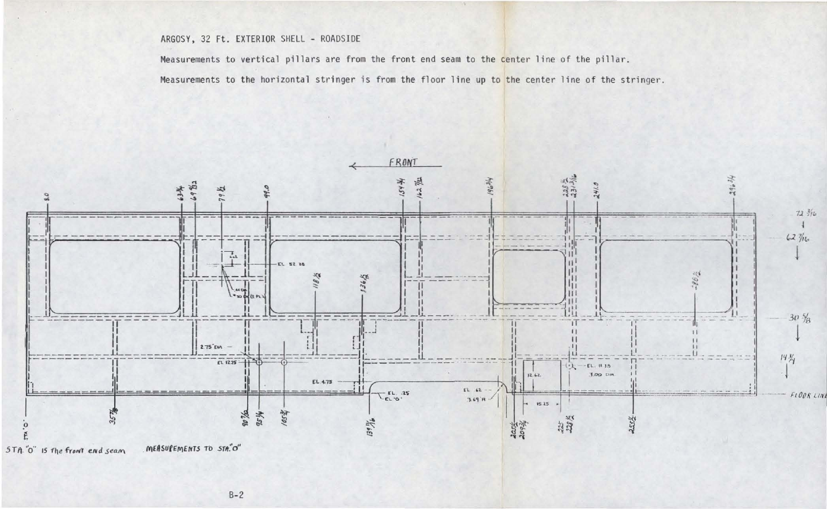## ARGOSY, 32 Ft. EXTERIOR SHELL - ROADSIDE

Measurements to vertical pillars are from the front end seam to the center line of the pillar.

Measurements to the horizontal stringer is from the floor line up to the center line of the stringer.

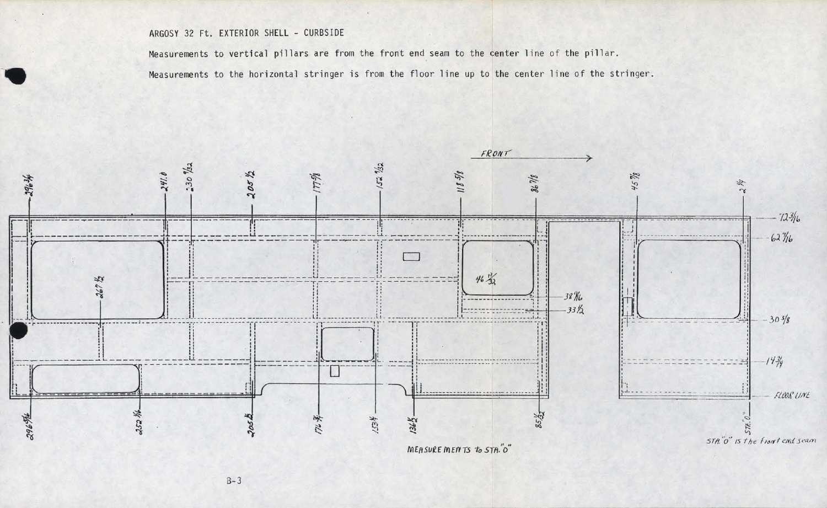## ARGOSY 32 Ft. EXTERIOR SHELL - CURBSIDE

Measurements to vertical pillars are from the front end seam to the center line of the pillar.

Measurements to the horizontal stringer is from the floor line up to the center line of the stringer.

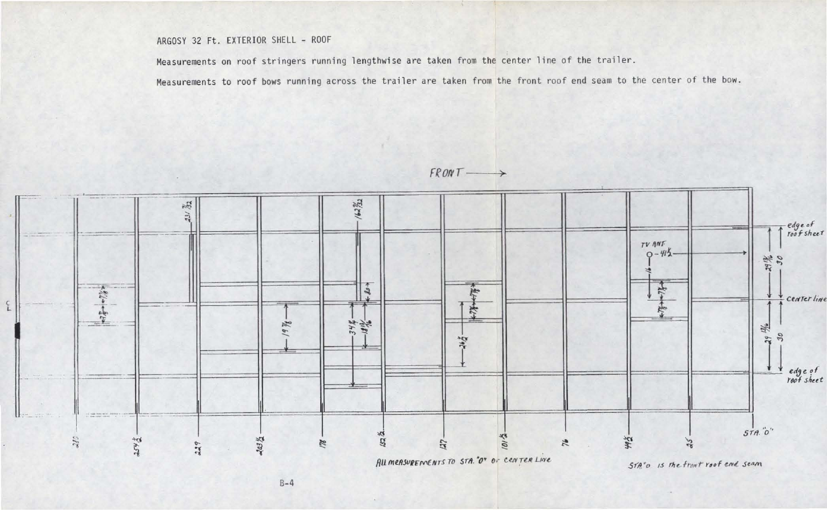## ARGOSY 32 Ft. EXTERIOR SHELL - ROOF

Measurements on roof stringers running lengthwise are taken from the center line of the trailer.

Measurements to roof bows running across the trailer are taken from the front roof end seam to the center of the bow.

 $FRONT$  $\rightarrow$ 

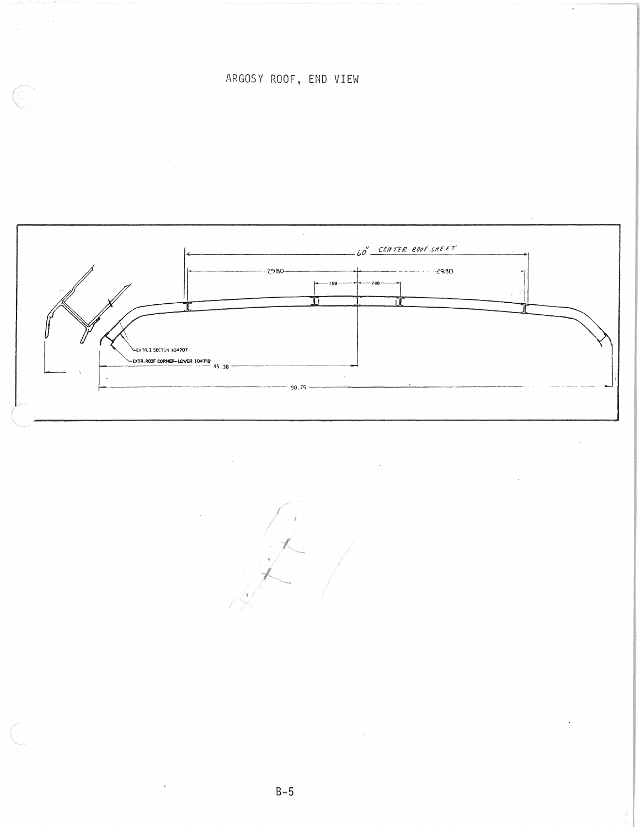ARGOSY ROOF, END VIEW

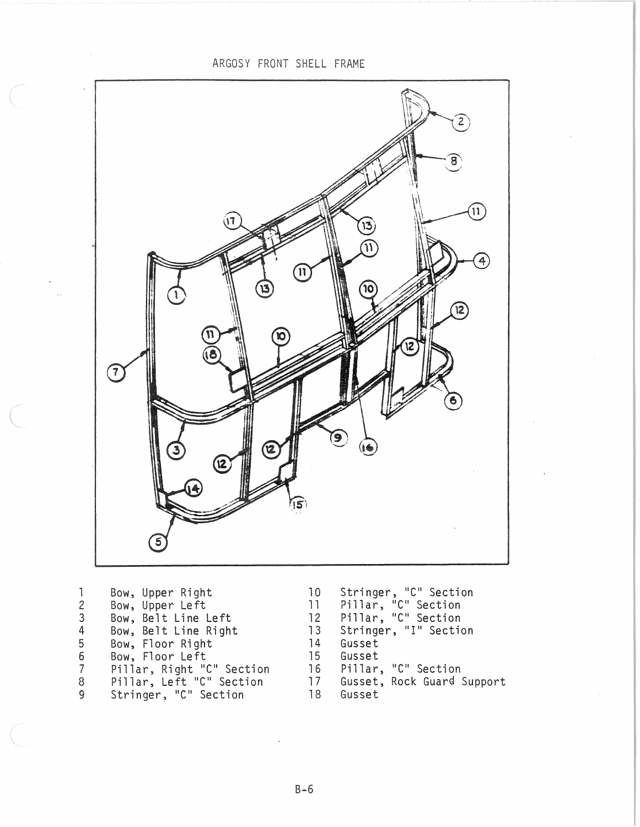ARGOSY FRONT SHELL FRAME



| Stringer, "C" Section<br>Pillar, "C" Section<br>12 Pillar, "C" Section |
|------------------------------------------------------------------------|
|                                                                        |
|                                                                        |
| 13 Stringer, "I" Section                                               |
|                                                                        |
|                                                                        |
| 16 Pillar, "C" Section                                                 |
| 17 Gusset, Rock Guard Support                                          |
|                                                                        |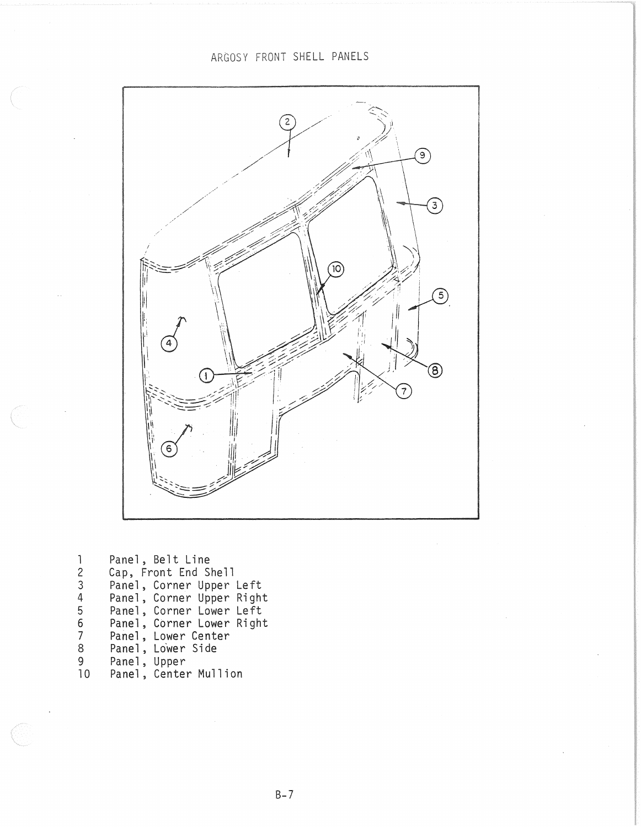## ARGOSY FRONT SHELL PANELS



Panel, Belt Line<br>Cap, Front End Shell<br>Panel, Corner Upper Left<br>Panel, Corner Upper Right<br>Panel, Corner Lower Left<br>Panel, Corner Lower Right<br>Panel, Lower Side<br>Panel, Upper<br>Panel, Upper<br>Panel, Center Mullion  $\overline{1}$  $\overline{c}$  $\overline{3}$  $\overline{4}$  $\overline{5}$ 6  $\frac{6}{7}$  $\overline{8}$ 9  $10<sup>°</sup>$ 

 $B - 7$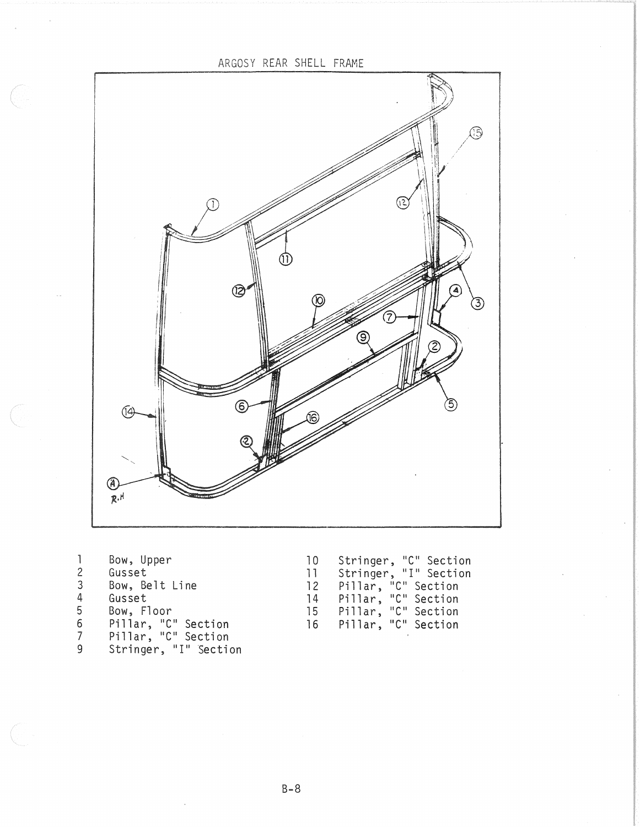ARGOSY REAR SHELL FRAME (15 ว (3) (ම)  $\bigcirc$  $\sqrt{4}$  $\circledR$  $\widetilde{R}$ .H

Bow, Upper  $\mathbf{1}$  $\overline{c}$ Gusset  $\overline{3}$ Bow, Belt Line Gusset  $\overline{4}$ Bow, Floor<br>Pillar, "C" Section<br>Pillar, "C" Section<br>Stringer, "I" Section  $\overline{5}$  $\sqrt{6}$  $\overline{7}$ 9

Stringer, "C" Section<br>Stringer, "I" Section<br>Pillar, "C" Section<br>Pillar, "C" Section<br>Pillar, "C" Section<br>Pillar, "C" Section  $10$  $11$  $12$  $14$ 15 16